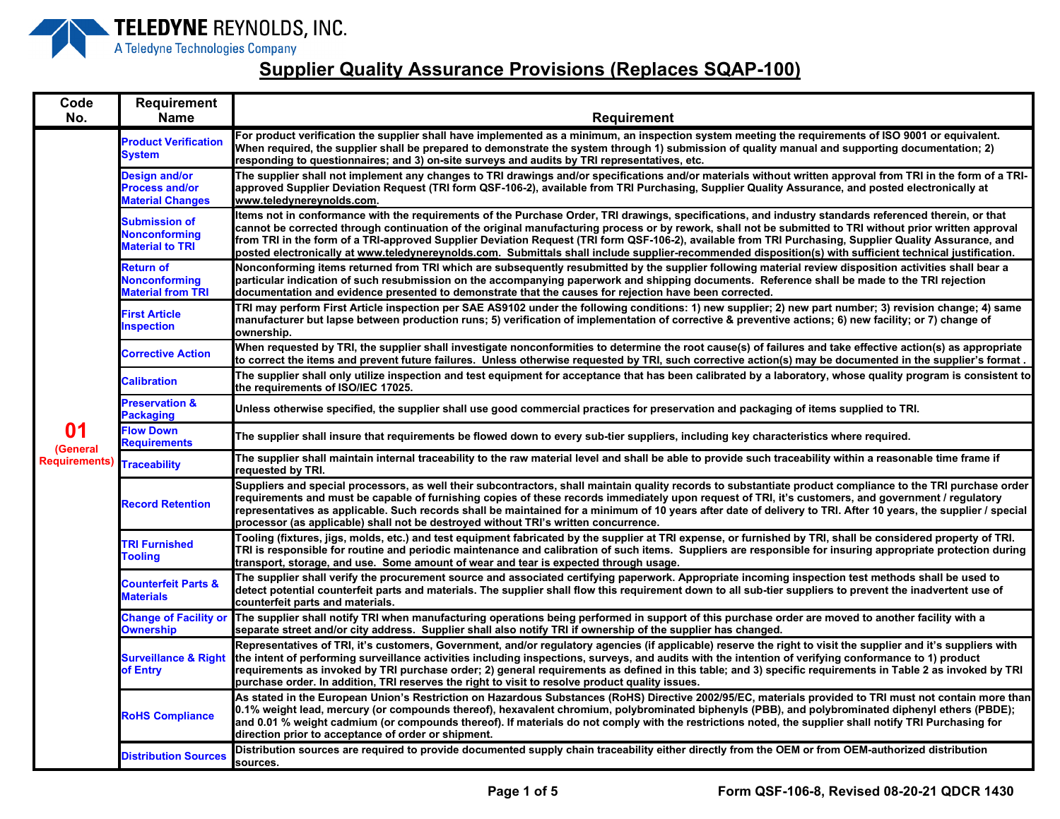

| Code<br>No.          | Requirement<br><b>Name</b>                                               | <b>Requirement</b>                                                                                                                                                                                                                                                                                                                                                                                                                                                                                                                                                                                                                        |
|----------------------|--------------------------------------------------------------------------|-------------------------------------------------------------------------------------------------------------------------------------------------------------------------------------------------------------------------------------------------------------------------------------------------------------------------------------------------------------------------------------------------------------------------------------------------------------------------------------------------------------------------------------------------------------------------------------------------------------------------------------------|
|                      | <b>Product Verification</b><br><b>System</b>                             | For product verification the supplier shall have implemented as a minimum, an inspection system meeting the requirements of ISO 9001 or equivalent.<br>When required, the supplier shall be prepared to demonstrate the system through 1) submission of quality manual and supporting documentation; 2)<br>responding to questionnaires; and 3) on-site surveys and audits by TRI representatives, etc.                                                                                                                                                                                                                                   |
|                      | <b>Design and/or</b><br><b>Process and/or</b><br><b>Material Changes</b> | The supplier shall not implement any changes to TRI drawings and/or specifications and/or materials without written approval from TRI in the form of a TRI-<br>approved Supplier Deviation Request (TRI form QSF-106-2), available from TRI Purchasing, Supplier Quality Assurance, and posted electronically at<br>www.teledynereynolds.com.                                                                                                                                                                                                                                                                                             |
|                      | <b>Submission of</b><br><b>Nonconforming</b><br><b>Material to TRI</b>   | ltems not in conformance with the requirements of the Purchase Order, TRI drawings, specifications, and industry standards referenced therein, or that<br>cannot be corrected through continuation of the original manufacturing process or by rework, shall not be submitted to TRI without prior written approval<br>from TRI in the form of a TRI-approved Supplier Deviation Request (TRI form QSF-106-2), available from TRI Purchasing, Supplier Quality Assurance, and<br>posted electronically at www.teledynereynolds.com. Submittals shall include supplier-recommended disposition(s) with sufficient technical justification. |
|                      | Return of<br><b>Nonconforming</b><br><b>Material from TRI</b>            | Nonconforming items returned from TRI which are subsequently resubmitted by the supplier following material review disposition activities shall bear a<br>particular indication of such resubmission on the accompanying paperwork and shipping documents. Reference shall be made to the TRI rejection<br>documentation and evidence presented to demonstrate that the causes for rejection have been corrected.                                                                                                                                                                                                                         |
|                      | <b>First Article</b><br><b>Inspection</b>                                | TRI may perform First Article inspection per SAE AS9102 under the following conditions: 1) new supplier; 2) new part number; 3) revision change; 4) same<br>manufacturer but lapse between production runs; 5) verification of implementation of corrective & preventive actions; 6) new facility; or 7) change of<br>ownership.                                                                                                                                                                                                                                                                                                          |
|                      | <b>Corrective Action</b>                                                 | When requested by TRI, the supplier shall investigate nonconformities to determine the root cause(s) of failures and take effective action(s) as appropriate<br>to correct the items and prevent future failures. Unless otherwise requested by TRI, such corrective action(s) may be documented in the supplier's format .                                                                                                                                                                                                                                                                                                               |
|                      | <b>Calibration</b>                                                       | The supplier shall only utilize inspection and test equipment for acceptance that has been calibrated by a laboratory, whose quality program is consistent to<br>the requirements of ISO/IEC 17025.                                                                                                                                                                                                                                                                                                                                                                                                                                       |
|                      | <b>Preservation &amp;</b><br><b>Packaging</b>                            | Unless otherwise specified, the supplier shall use good commercial practices for preservation and packaging of items supplied to TRI.                                                                                                                                                                                                                                                                                                                                                                                                                                                                                                     |
| 01<br>(General       | <b>Flow Down</b><br><b>Requirements</b>                                  | The supplier shall insure that requirements be flowed down to every sub-tier suppliers, including key characteristics where required.                                                                                                                                                                                                                                                                                                                                                                                                                                                                                                     |
| <b>Requirements)</b> | <b>Traceability</b>                                                      | The supplier shall maintain internal traceability to the raw material level and shall be able to provide such traceability within a reasonable time frame if<br>requested by TRI.                                                                                                                                                                                                                                                                                                                                                                                                                                                         |
|                      | <b>Record Retention</b>                                                  | Suppliers and special processors, as well their subcontractors, shall maintain quality records to substantiate product compliance to the TRI purchase order<br>requirements and must be capable of furnishing copies of these records immediately upon request of TRI, it's customers, and government / requlatory<br>representatives as applicable. Such records shall be maintained for a minimum of 10 years after date of delivery to TRI. After 10 years, the supplier / special<br>processor (as applicable) shall not be destroyed without TRI's written concurrence.                                                              |
|                      | <b>TRI Furnished</b><br><b>Tooling</b>                                   | Tooling (fixtures, jigs, molds, etc.) and test equipment fabricated by the supplier at TRI expense, or furnished by TRI, shall be considered property of TRI.<br>TRI is responsible for routine and periodic maintenance and calibration of such items. Suppliers are responsible for insuring appropriate protection during<br>transport, storage, and use.  Some amount of wear and tear is expected through usage.                                                                                                                                                                                                                     |
|                      | <b>Counterfeit Parts &amp;</b><br><b>Materials</b>                       | The supplier shall verify the procurement source and associated certifying paperwork. Appropriate incoming inspection test methods shall be used to<br>detect potential counterfeit parts and materials. The supplier shall flow this requirement down to all sub-tier suppliers to prevent the inadvertent use of<br>counterfeit parts and materials.                                                                                                                                                                                                                                                                                    |
|                      | <b>Change of Facility or</b><br><b>Ownership</b>                         | The supplier shall notify TRI when manufacturing operations being performed in support of this purchase order are moved to another facility with a<br>separate street and/or city address. Supplier shall also notify TRI if ownership of the supplier has changed.                                                                                                                                                                                                                                                                                                                                                                       |
|                      | <b>Surveillance &amp; Right</b><br>of Entry                              | Representatives of TRI, it's customers, Government, and/or regulatory agencies (if applicable) reserve the right to visit the supplier and it's suppliers with<br>the intent of performing surveillance activities including inspections, surveys, and audits with the intention of verifying conformance to 1) product<br>requirements as invoked by TRI purchase order; 2) general requirements as defined in this table; and 3) specific requirements in Table 2 as invoked by TRI<br>purchase order. In addition, TRI reserves the right to visit to resolve product quality issues.                                                  |
|                      | <b>RoHS Compliance</b>                                                   | As stated in the European Union's Restriction on Hazardous Substances (RoHS) Directive 2002/95/EC, materials provided to TRI must not contain more than<br>0.1% weight lead, mercury (or compounds thereof), hexavalent chromium, polybrominated biphenyls (PBB), and polybrominated diphenyl ethers (PBDE);<br>and 0.01 % weight cadmium (or compounds thereof). If materials do not comply with the restrictions noted, the supplier shall notify TRI Purchasing for<br>direction prior to acceptance of order or shipment.                                                                                                             |
|                      | <b>Distribution Sources</b>                                              | Distribution sources are required to provide documented supply chain traceability either directly from the OEM or from OEM-authorized distribution<br>sources.                                                                                                                                                                                                                                                                                                                                                                                                                                                                            |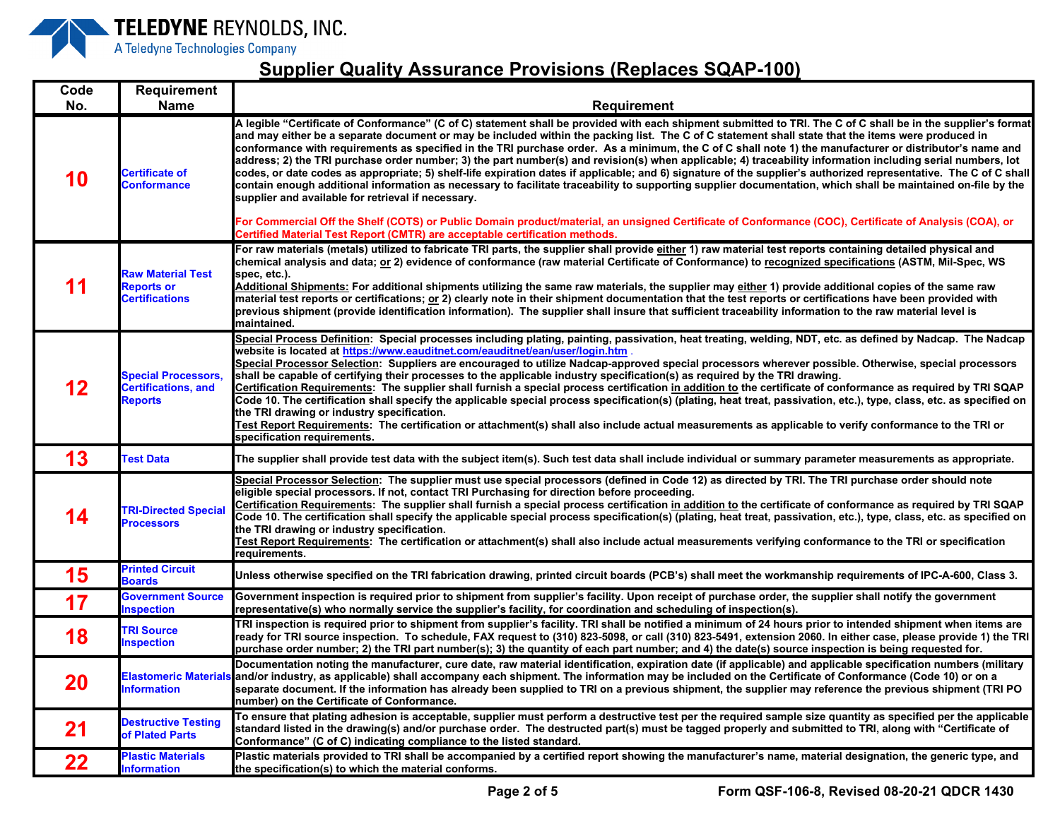

## **Supplier Quality Assurance Provisions (Replaces SQAP-100)**

| Code | Requirement                                                                |                                                                                                                                                                                                                                                                                                                                                                                                                                                                                                                                                                                                                                                                                                                                                                                                                                                                                                                                                                                                                                                                                                                                                                                                                                                                                   |
|------|----------------------------------------------------------------------------|-----------------------------------------------------------------------------------------------------------------------------------------------------------------------------------------------------------------------------------------------------------------------------------------------------------------------------------------------------------------------------------------------------------------------------------------------------------------------------------------------------------------------------------------------------------------------------------------------------------------------------------------------------------------------------------------------------------------------------------------------------------------------------------------------------------------------------------------------------------------------------------------------------------------------------------------------------------------------------------------------------------------------------------------------------------------------------------------------------------------------------------------------------------------------------------------------------------------------------------------------------------------------------------|
| No.  | <b>Name</b>                                                                | Requirement                                                                                                                                                                                                                                                                                                                                                                                                                                                                                                                                                                                                                                                                                                                                                                                                                                                                                                                                                                                                                                                                                                                                                                                                                                                                       |
| 10   | <b>Certificate of</b><br><b>Conformance</b>                                | A legible "Certificate of Conformance" (C of C) statement shall be provided with each shipment submitted to TRI. The C of C shall be in the supplier's format<br>and may either be a separate document or may be included within the packing list. The C of C statement shall state that the items were produced in<br>conformance with requirements as specified in the TRI purchase order. As a minimum, the C of C shall note 1) the manufacturer or distributor's name and<br>address; 2) the TRI purchase order number; 3) the part number(s) and revision(s) when applicable; 4) traceability information including serial numbers, lot<br>codes, or date codes as appropriate; 5) shelf-life expiration dates if applicable; and 6) signature of the supplier's authorized representative. The C of C shall<br>contain enough additional information as necessary to facilitate traceability to supporting supplier documentation, which shall be maintained on-file by the<br>supplier and available for retrieval if necessary.<br>For Commercial Off the Shelf (COTS) or Public Domain product/material, an unsigned Certificate of Conformance (COC), Certificate of Analysis (COA), or<br>Certified Material Test Report (CMTR) are acceptable certification methods. |
| 11   | <b>Raw Material Test</b><br><b>Reports or</b><br><b>Certifications</b>     | For raw materials (metals) utilized to fabricate TRI parts, the supplier shall provide either 1) raw material test reports containing detailed physical and<br>chemical analysis and data; or 2) evidence of conformance (raw material Certificate of Conformance) to recognized specifications (ASTM, Mil-Spec, WS<br>spec. etc.).<br>Additional Shipments: For additional shipments utilizing the same raw materials, the supplier may either 1) provide additional copies of the same raw<br>material test reports or certifications; or 2) clearly note in their shipment documentation that the test reports or certifications have been provided with<br>previous shipment (provide identification information). The supplier shall insure that sufficient traceability information to the raw material level is<br>maintained.                                                                                                                                                                                                                                                                                                                                                                                                                                             |
| 12   | <b>Special Processors,</b><br><b>Certifications, and</b><br><b>Reports</b> | Special Process Definition: Special processes including plating, painting, passivation, heat treating, welding, NDT, etc. as defined by Nadcap. The Nadcap<br>website is located at https://www.eauditnet.com/eauditnet/ean/user/login.htm .<br>Special Processor Selection: Suppliers are encouraged to utilize Nadcap-approved special processors wherever possible. Otherwise, special processors<br>shall be capable of certifying their processes to the applicable industry specification(s) as required by the TRI drawing.<br>Certification Requirements: The supplier shall furnish a special process certification in addition to the certificate of conformance as required by TRI SQAP<br>Code 10. The certification shall specify the applicable special process specification(s) (plating, heat treat, passivation, etc.), type, class, etc. as specified on<br>the TRI drawing or industry specification.<br>Test Report Requirements: The certification or attachment(s) shall also include actual measurements as applicable to verify conformance to the TRI or<br>specification requirements.                                                                                                                                                                  |
| 13   | <b>Fest Data</b>                                                           | The supplier shall provide test data with the subject item(s). Such test data shall include individual or summary parameter measurements as appropriate.                                                                                                                                                                                                                                                                                                                                                                                                                                                                                                                                                                                                                                                                                                                                                                                                                                                                                                                                                                                                                                                                                                                          |
| 14   | <b>TRI-Directed Special</b><br><b>Processors</b>                           | Special Processor Selection: The supplier must use special processors (defined in Code 12) as directed by TRI. The TRI purchase order should note<br>eligible special processors. If not, contact TRI Purchasing for direction before proceeding.<br>Certification Requirements: The supplier shall furnish a special process certification in addition to the certificate of conformance as required by TRI SQAP<br>Code 10. The certification shall specify the applicable special process specification(s) (plating, heat treat, passivation, etc.), type, class, etc. as specified on<br>the TRI drawing or industry specification.<br>Test Report Requirements: The certification or attachment(s) shall also include actual measurements verifying conformance to the TRI or specification<br>requirements.                                                                                                                                                                                                                                                                                                                                                                                                                                                                 |
| 15   | <b>Printed Circuit</b><br><b>Boards</b>                                    | Unless otherwise specified on the TRI fabrication drawing, printed circuit boards (PCB's) shall meet the workmanship requirements of IPC-A-600, Class 3.                                                                                                                                                                                                                                                                                                                                                                                                                                                                                                                                                                                                                                                                                                                                                                                                                                                                                                                                                                                                                                                                                                                          |
| 17   | <b>Government Source</b><br><b>Inspection</b>                              | Government inspection is required prior to shipment from supplier's facility. Upon receipt of purchase order, the supplier shall notify the government<br>representative(s) who normally service the supplier's facility, for coordination and scheduling of inspection(s).                                                                                                                                                                                                                                                                                                                                                                                                                                                                                                                                                                                                                                                                                                                                                                                                                                                                                                                                                                                                       |
| 18   | <b>TRI Source</b><br><b>Inspection</b>                                     | TRI inspection is required prior to shipment from supplier's facility. TRI shall be notified a minimum of 24 hours prior to intended shipment when items are<br>ready for TRI source inspection. To schedule, FAX request to (310) 823-5098, or call (310) 823-5491, extension 2060. In either case, please provide 1) the TRI<br>purchase order number; 2) the TRI part number(s); 3) the quantity of each part number; and 4) the date(s) source inspection is being requested for.                                                                                                                                                                                                                                                                                                                                                                                                                                                                                                                                                                                                                                                                                                                                                                                             |
| 20   | <b>Information</b>                                                         | Documentation noting the manufacturer, cure date, raw material identification, expiration date (if applicable) and applicable specification numbers (military<br>Elastomeric Materials and/or industry, as applicable) shall accompany each shipment. The information may be included on the Certificate of Conformance (Code 10) or on a<br>separate document. If the information has already been supplied to TRI on a previous shipment, the supplier may reference the previous shipment (TRI PO<br>number) on the Certificate of Conformance.                                                                                                                                                                                                                                                                                                                                                                                                                                                                                                                                                                                                                                                                                                                                |
| 21   | <b>Destructive Testing</b><br>of Plated Parts                              | To ensure that plating adhesion is acceptable, supplier must perform a destructive test per the required sample size quantity as specified per the applicable<br>standard listed in the drawing(s) and/or purchase order. The destructed part(s) must be tagged properly and submitted to TRI, along with "Certificate of<br>Conformance" (C of C) indicating compliance to the listed standard.                                                                                                                                                                                                                                                                                                                                                                                                                                                                                                                                                                                                                                                                                                                                                                                                                                                                                  |
| 22   | <b>Plastic Materials</b><br><b>Information</b>                             | Plastic materials provided to TRI shall be accompanied by a certified report showing the manufacturer's name, material designation, the generic type, and<br>the specification(s) to which the material conforms.                                                                                                                                                                                                                                                                                                                                                                                                                                                                                                                                                                                                                                                                                                                                                                                                                                                                                                                                                                                                                                                                 |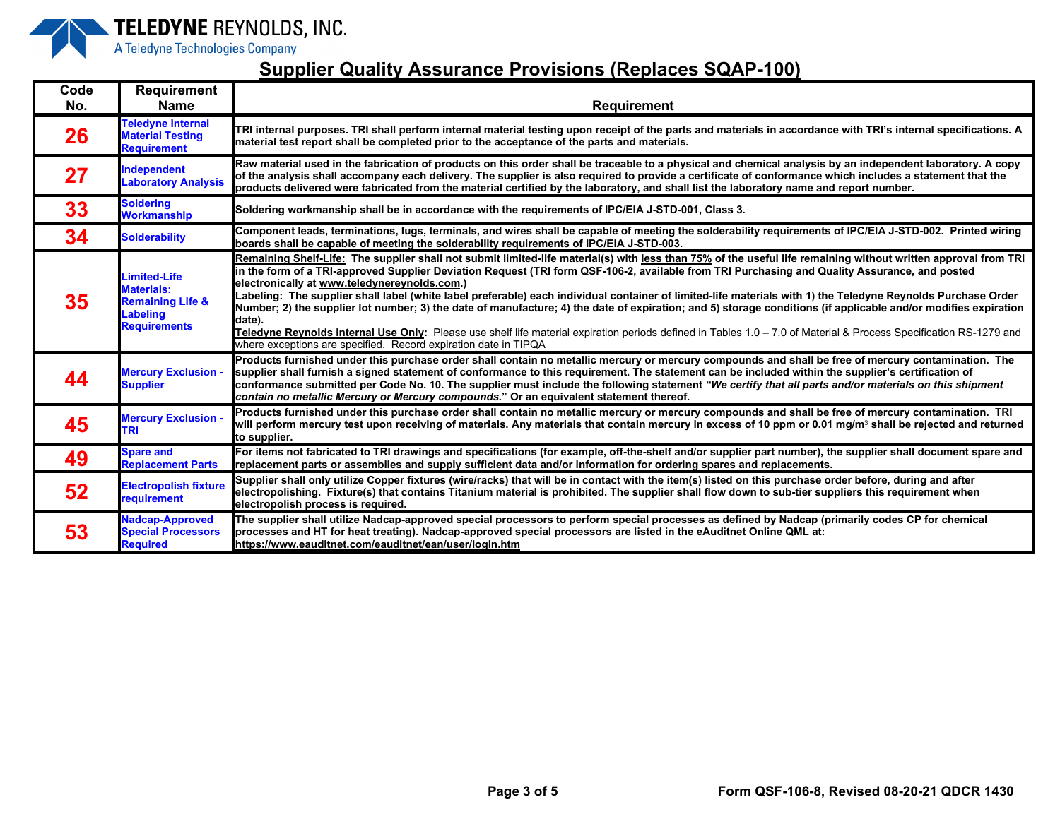

| Code<br>No. | <b>Requirement</b><br><b>Name</b>                                                                   | <b>Requirement</b>                                                                                                                                                                                                                                                                                                                                                                                                                                                                                                                                                                                                                                                                                                                                                                                                                                                                                                                                   |
|-------------|-----------------------------------------------------------------------------------------------------|------------------------------------------------------------------------------------------------------------------------------------------------------------------------------------------------------------------------------------------------------------------------------------------------------------------------------------------------------------------------------------------------------------------------------------------------------------------------------------------------------------------------------------------------------------------------------------------------------------------------------------------------------------------------------------------------------------------------------------------------------------------------------------------------------------------------------------------------------------------------------------------------------------------------------------------------------|
| 26          | <b>Feledyne Internal</b><br><b>Material Testing</b><br><b>Requirement</b>                           | TRI internal purposes. TRI shall perform internal material testing upon receipt of the parts and materials in accordance with TRI's internal specifications. A<br>material test report shall be completed prior to the acceptance of the parts and materials.                                                                                                                                                                                                                                                                                                                                                                                                                                                                                                                                                                                                                                                                                        |
| 27          | <b>Independent</b><br><b>Laboratory Analysis</b>                                                    | Raw material used in the fabrication of products on this order shall be traceable to a physical and chemical analysis by an independent laboratory. A copy<br>of the analysis shall accompany each delivery. The supplier is also required to provide a certificate of conformance which includes a statement that the<br>products delivered were fabricated from the material certified by the laboratory, and shall list the laboratory name and report number.                                                                                                                                                                                                                                                                                                                                                                                                                                                                                    |
| 33          | <b>Soldering</b><br><b>Workmanship</b>                                                              | Soldering workmanship shall be in accordance with the requirements of IPC/EIA J-STD-001, Class 3.                                                                                                                                                                                                                                                                                                                                                                                                                                                                                                                                                                                                                                                                                                                                                                                                                                                    |
| 34          | <b>Solderability</b>                                                                                | Component leads, terminations, lugs, terminals, and wires shall be capable of meeting the solderability requirements of IPC/EIA J-STD-002. Printed wiring<br>boards shall be capable of meeting the solderability requirements of IPC/EIA J-STD-003.                                                                                                                                                                                                                                                                                                                                                                                                                                                                                                                                                                                                                                                                                                 |
| 35          | Limited-Life<br><b>Materials:</b><br><b>Remaining Life &amp;</b><br>Labeling<br><b>Requirements</b> | Remaining Shelf-Life: The supplier shall not submit limited-life material(s) with less than 75% of the useful life remaining without written approval from TRI<br>in the form of a TRI-approved Supplier Deviation Request (TRI form QSF-106-2, available from TRI Purchasing and Quality Assurance, and posted<br>electronically at www.teledynereynolds.com.)<br>Labeling: The supplier shall label (white label preferable) each individual container of limited-life materials with 1) the Teledyne Reynolds Purchase Order<br>Number; 2) the supplier lot number; 3) the date of manufacture; 4) the date of expiration; and 5) storage conditions (if applicable and/or modifies expiration<br>date).<br>Teledyne Reynolds Internal Use Only: Please use shelf life material expiration periods defined in Tables 1.0 - 7.0 of Material & Process Specification RS-1279 and<br>where exceptions are specified. Record expiration date in TIPQA |
| 44          | <b>Mercury Exclusion -</b><br><b>Supplier</b>                                                       | Products furnished under this purchase order shall contain no metallic mercury or mercury compounds and shall be free of mercury contamination. The<br>supplier shall furnish a signed statement of conformance to this requirement. The statement can be included within the supplier's certification of<br>conformance submitted per Code No. 10. The supplier must include the following statement "We certify that all parts and/or materials on this shipment<br>contain no metallic Mercury or Mercury compounds." Or an equivalent statement thereof.                                                                                                                                                                                                                                                                                                                                                                                         |
| 45          | <b>Mercury Exclusion</b><br>TRI                                                                     | Products furnished under this purchase order shall contain no metallic mercury or mercury compounds and shall be free of mercury contamination. TRI<br>will perform mercury test upon receiving of materials. Any materials that contain mercury in excess of 10 ppm or 0.01 mg/m <sup>3</sup> shall be rejected and returned<br>to supplier.                                                                                                                                                                                                                                                                                                                                                                                                                                                                                                                                                                                                        |
| 49          | <b>Spare and</b><br><b>Replacement Parts</b>                                                        | For items not fabricated to TRI drawings and specifications (for example, off-the-shelf and/or supplier part number), the supplier shall document spare and<br>replacement parts or assemblies and supply sufficient data and/or information for ordering spares and replacements.                                                                                                                                                                                                                                                                                                                                                                                                                                                                                                                                                                                                                                                                   |
| 52          | <b>Electropolish fixture</b><br>requirement                                                         | Supplier shall only utilize Copper fixtures (wire/racks) that will be in contact with the item(s) listed on this purchase order before, during and after<br>electropolishing. Fixture(s) that contains Titanium material is prohibited. The supplier shall flow down to sub-tier suppliers this requirement when<br>electropolish process is required.                                                                                                                                                                                                                                                                                                                                                                                                                                                                                                                                                                                               |
| 53          | Nadcap-Approved<br><b>Special Processors</b><br><b>Required</b>                                     | The supplier shall utilize Nadcap-approved special processors to perform special processes as defined by Nadcap (primarily codes CP for chemical<br>processes and HT for heat treating). Nadcap-approved special processors are listed in the eAuditnet Online QML at:<br>https://www.eauditnet.com/eauditnet/ean/user/login.htm                                                                                                                                                                                                                                                                                                                                                                                                                                                                                                                                                                                                                     |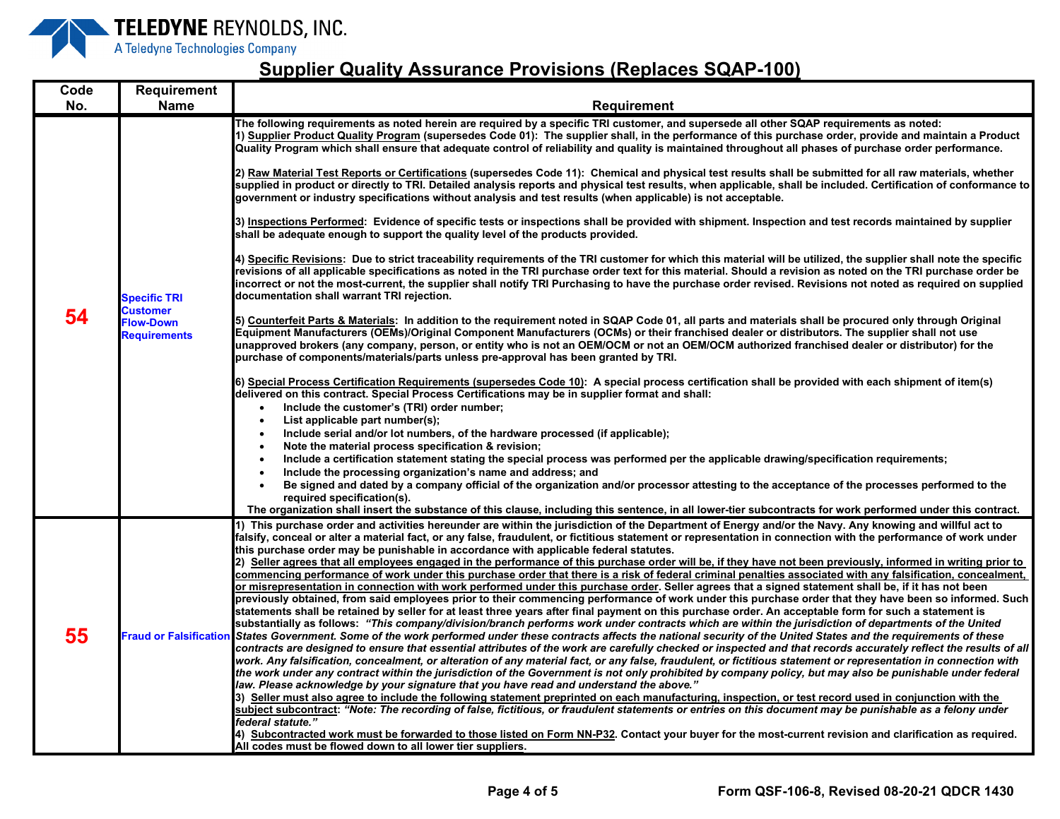

| Code | <b>Requirement</b>                                                                |                                                                                                                                                                                                                                                                                                                                                                                                                                                                                                                                                                                                                                                                                                                                                                                                                                                                                                                                                                                                                                                                                                                                                                                                                                                                                                                                                                                                                                                                                                                                                                                                                                                                                                                                                                                                                                                                                                                                                                                                                                                                                                                                                                                                                                                                                                                                                                                                                                                                                                                                                                                                                                                                                                                                                                                                                                                                                                                                                                                                                                                                                                                                                                                                                                                                                                                                     |
|------|-----------------------------------------------------------------------------------|-------------------------------------------------------------------------------------------------------------------------------------------------------------------------------------------------------------------------------------------------------------------------------------------------------------------------------------------------------------------------------------------------------------------------------------------------------------------------------------------------------------------------------------------------------------------------------------------------------------------------------------------------------------------------------------------------------------------------------------------------------------------------------------------------------------------------------------------------------------------------------------------------------------------------------------------------------------------------------------------------------------------------------------------------------------------------------------------------------------------------------------------------------------------------------------------------------------------------------------------------------------------------------------------------------------------------------------------------------------------------------------------------------------------------------------------------------------------------------------------------------------------------------------------------------------------------------------------------------------------------------------------------------------------------------------------------------------------------------------------------------------------------------------------------------------------------------------------------------------------------------------------------------------------------------------------------------------------------------------------------------------------------------------------------------------------------------------------------------------------------------------------------------------------------------------------------------------------------------------------------------------------------------------------------------------------------------------------------------------------------------------------------------------------------------------------------------------------------------------------------------------------------------------------------------------------------------------------------------------------------------------------------------------------------------------------------------------------------------------------------------------------------------------------------------------------------------------------------------------------------------------------------------------------------------------------------------------------------------------------------------------------------------------------------------------------------------------------------------------------------------------------------------------------------------------------------------------------------------------------------------------------------------------------------------------------------------------|
| No.  | <b>Name</b>                                                                       | Requirement                                                                                                                                                                                                                                                                                                                                                                                                                                                                                                                                                                                                                                                                                                                                                                                                                                                                                                                                                                                                                                                                                                                                                                                                                                                                                                                                                                                                                                                                                                                                                                                                                                                                                                                                                                                                                                                                                                                                                                                                                                                                                                                                                                                                                                                                                                                                                                                                                                                                                                                                                                                                                                                                                                                                                                                                                                                                                                                                                                                                                                                                                                                                                                                                                                                                                                                         |
| 54   | <b>Specific TRI</b><br><b>Customer</b><br><b>Flow-Down</b><br><b>Requirements</b> | The following requirements as noted herein are required by a specific TRI customer, and supersede all other SQAP requirements as noted:<br>1) Supplier Product Quality Program (supersedes Code 01): The supplier shall, in the performance of this purchase order, provide and maintain a Product<br>Quality Program which shall ensure that adequate control of reliability and quality is maintained throughout all phases of purchase order performance.<br>2) Raw Material Test Reports or Certifications (supersedes Code 11): Chemical and physical test results shall be submitted for all raw materials, whether<br>supplied in product or directly to TRI. Detailed analysis reports and physical test results, when applicable, shall be included. Certification of conformance to<br>government or industry specifications without analysis and test results (when applicable) is not acceptable.<br>3) Inspections Performed: Evidence of specific tests or inspections shall be provided with shipment. Inspection and test records maintained by supplier<br>shall be adequate enough to support the quality level of the products provided.<br>4) Specific Revisions: Due to strict traceability requirements of the TRI customer for which this material will be utilized, the supplier shall note the specific<br>revisions of all applicable specifications as noted in the TRI purchase order text for this material. Should a revision as noted on the TRI purchase order be<br>incorrect or not the most-current, the supplier shall notify TRI Purchasing to have the purchase order revised. Revisions not noted as required on supplied<br>documentation shall warrant TRI rejection.<br>5) Counterfeit Parts & Materials: In addition to the requirement noted in SQAP Code 01, all parts and materials shall be procured only through Original<br>Equipment Manufacturers (OEMs)/Original Component Manufacturers (OCMs) or their franchised dealer or distributors. The supplier shall not use<br>unapproved brokers (any company, person, or entity who is not an OEM/OCM or not an OEM/OCM authorized franchised dealer or distributor) for the<br>purchase of components/materials/parts unless pre-approval has been granted by TRI.<br>6) Special Process Certification Requirements (supersedes Code 10): A special process certification shall be provided with each shipment of item(s)<br>delivered on this contract. Special Process Certifications may be in supplier format and shall:<br>Include the customer's (TRI) order number;<br>$\bullet$<br>List applicable part number(s);<br>$\bullet$<br>Include serial and/or lot numbers, of the hardware processed (if applicable);<br>Note the material process specification & revision;<br>Include a certification statement stating the special process was performed per the applicable drawing/specification requirements;<br>Include the processing organization's name and address; and<br>Be signed and dated by a company official of the organization and/or processor attesting to the acceptance of the processes performed to the<br>required specification(s).<br>The organization shall insert the substance of this clause, including this sentence, in all lower-tier subcontracts for work performed under this contract. |
| 55   |                                                                                   | 1) This purchase order and activities hereunder are within the jurisdiction of the Department of Energy and/or the Navy. Any knowing and willful act to<br>falsify, conceal or alter a material fact, or any false, fraudulent, or fictitious statement or representation in connection with the performance of work under<br>this purchase order may be punishable in accordance with applicable federal statutes.<br>2) Seller agrees that all employees engaged in the performance of this purchase order will be, if they have not been previously, informed in writing prior to<br>commencing performance of work under this purchase order that there is a risk of federal criminal penalties associated with any falsification, concealment,<br>or misrepresentation in connection with work performed under this purchase order. Seller agrees that a signed statement shall be, if it has not been<br>previously obtained, from said employees prior to their commencing performance of work under this purchase order that they have been so informed. Such<br>statements shall be retained by seller for at least three years after final payment on this purchase order. An acceptable form for such a statement is<br>substantially as follows: "This company/division/branch performs work under contracts which are within the jurisdiction of departments of the United<br>Fraud or Falsification States Government. Some of the work performed under these contracts affects the national security of the United States and the requirements of these<br>contracts are designed to ensure that essential attributes of the work are carefully checked or inspected and that records accurately reflect the results of all<br>work. Any falsification, concealment, or alteration of any material fact, or any false, fraudulent, or fictitious statement or representation in connection with<br>the work under any contract within the jurisdiction of the Government is not only prohibited by company policy, but may also be punishable under federal<br>law. Please acknowledge by your signature that you have read and understand the above."<br>3) Seller must also agree to include the following statement preprinted on each manufacturing, inspection, or test record used in conjunction with the<br>subject subcontract: "Note: The recording of false, fictitious, or fraudulent statements or entries on this document may be punishable as a felony under<br>federal statute."<br>4) Subcontracted work must be forwarded to those listed on Form NN-P32. Contact your buyer for the most-current revision and clarification as required.<br>All codes must be flowed down to all lower tier suppliers.                                                                                                                                                                                                                                                                                                                                                                                                                                                                                                                                                                                           |